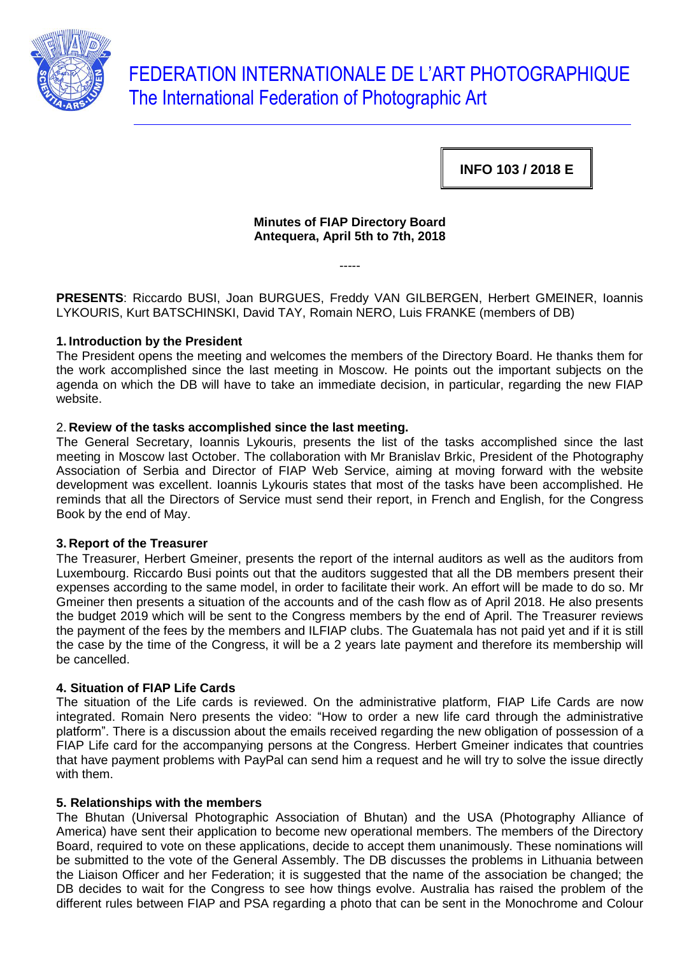

FEDERATION INTERNATIONALE DE L'ART PHOTOGRAPHIQUE The International Federation of Photographic Art

**INFO 103 / 2018 E**

# **Minutes of FIAP Directory Board Antequera, April 5th to 7th, 2018**

-----

**PRESENTS**: Riccardo BUSI, Joan BURGUES, Freddy VAN GILBERGEN, Herbert GMEINER, Ioannis LYKOURIS, Kurt BATSCHINSKI, David TAY, Romain NERO, Luis FRANKE (members of DB)

## **1. Introduction by the President**

The President opens the meeting and welcomes the members of the Directory Board. He thanks them for the work accomplished since the last meeting in Moscow. He points out the important subjects on the agenda on which the DB will have to take an immediate decision, in particular, regarding the new FIAP website.

# 2. **Review of the tasks accomplished since the last meeting.**

The General Secretary, Ioannis Lykouris, presents the list of the tasks accomplished since the last meeting in Moscow last October. The collaboration with Mr Branislav Brkic, President of the Photography Association of Serbia and Director of FIAP Web Service, aiming at moving forward with the website development was excellent. Ioannis Lykouris states that most of the tasks have been accomplished. He reminds that all the Directors of Service must send their report, in French and English, for the Congress Book by the end of May.

## **3. Report of the Treasurer**

The Treasurer, Herbert Gmeiner, presents the report of the internal auditors as well as the auditors from Luxembourg. Riccardo Busi points out that the auditors suggested that all the DB members present their expenses according to the same model, in order to facilitate their work. An effort will be made to do so. Mr Gmeiner then presents a situation of the accounts and of the cash flow as of April 2018. He also presents the budget 2019 which will be sent to the Congress members by the end of April. The Treasurer reviews the payment of the fees by the members and ILFIAP clubs. The Guatemala has not paid yet and if it is still the case by the time of the Congress, it will be a 2 years late payment and therefore its membership will be cancelled.

## **4. Situation of FIAP Life Cards**

The situation of the Life cards is reviewed. On the administrative platform, FIAP Life Cards are now integrated. Romain Nero presents the video: "How to order a new life card through the administrative platform". There is a discussion about the emails received regarding the new obligation of possession of a FIAP Life card for the accompanying persons at the Congress. Herbert Gmeiner indicates that countries that have payment problems with PayPal can send him a request and he will try to solve the issue directly with them.

## **5. Relationships with the members**

The Bhutan (Universal Photographic Association of Bhutan) and the USA (Photography Alliance of America) have sent their application to become new operational members. The members of the Directory Board, required to vote on these applications, decide to accept them unanimously. These nominations will be submitted to the vote of the General Assembly. The DB discusses the problems in Lithuania between the Liaison Officer and her Federation; it is suggested that the name of the association be changed; the DB decides to wait for the Congress to see how things evolve. Australia has raised the problem of the different rules between FIAP and PSA regarding a photo that can be sent in the Monochrome and Colour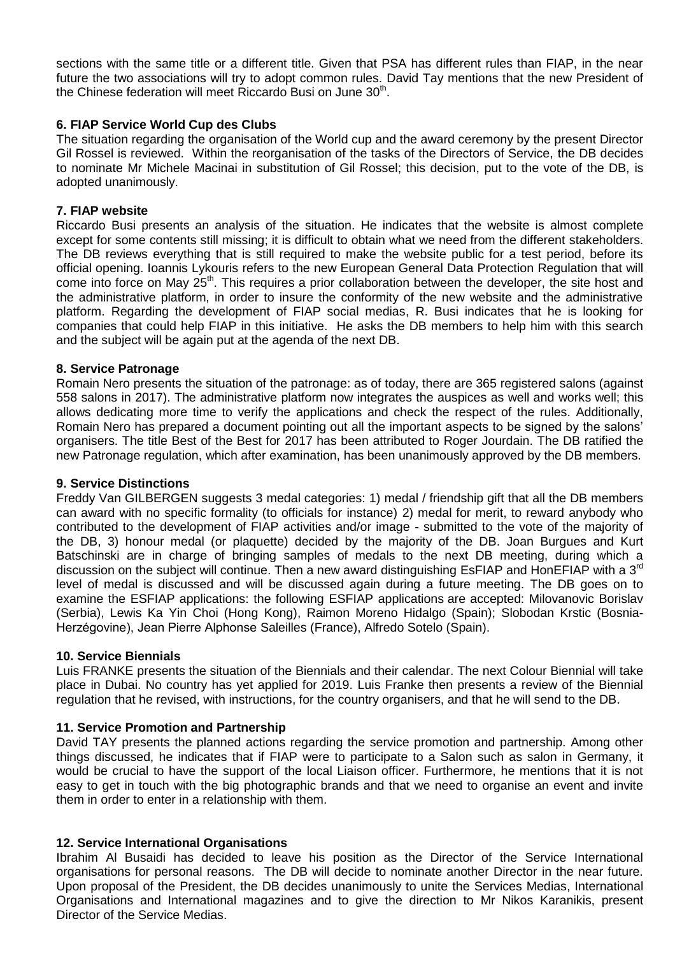sections with the same title or a different title. Given that PSA has different rules than FIAP, in the near future the two associations will try to adopt common rules. David Tay mentions that the new President of the Chinese federation will meet Riccardo Busi on June 30<sup>th</sup>.

## **6. FIAP Service World Cup des Clubs**

The situation regarding the organisation of the World cup and the award ceremony by the present Director Gil Rossel is reviewed. Within the reorganisation of the tasks of the Directors of Service, the DB decides to nominate Mr Michele Macinai in substitution of Gil Rossel; this decision, put to the vote of the DB, is adopted unanimously.

### **7. FIAP website**

Riccardo Busi presents an analysis of the situation. He indicates that the website is almost complete except for some contents still missing; it is difficult to obtain what we need from the different stakeholders. The DB reviews everything that is still required to make the website public for a test period, before its official opening. Ioannis Lykouris refers to the new European General Data Protection Regulation that will come into force on May 25<sup>th</sup>. This requires a prior collaboration between the developer, the site host and the administrative platform, in order to insure the conformity of the new website and the administrative platform. Regarding the development of FIAP social medias, R. Busi indicates that he is looking for companies that could help FIAP in this initiative. He asks the DB members to help him with this search and the subject will be again put at the agenda of the next DB.

#### **8. Service Patronage**

Romain Nero presents the situation of the patronage: as of today, there are 365 registered salons (against 558 salons in 2017). The administrative platform now integrates the auspices as well and works well; this allows dedicating more time to verify the applications and check the respect of the rules. Additionally, Romain Nero has prepared a document pointing out all the important aspects to be signed by the salons' organisers. The title Best of the Best for 2017 has been attributed to Roger Jourdain. The DB ratified the new Patronage regulation, which after examination, has been unanimously approved by the DB members.

#### **9. Service Distinctions**

Freddy Van GILBERGEN suggests 3 medal categories: 1) medal / friendship gift that all the DB members can award with no specific formality (to officials for instance) 2) medal for merit, to reward anybody who contributed to the development of FIAP activities and/or image - submitted to the vote of the majority of the DB, 3) honour medal (or plaquette) decided by the majority of the DB. Joan Burgues and Kurt Batschinski are in charge of bringing samples of medals to the next DB meeting, during which a discussion on the subject will continue. Then a new award distinguishing EsFIAP and HonEFIAP with a 3<sup>rd</sup> level of medal is discussed and will be discussed again during a future meeting. The DB goes on to examine the ESFIAP applications: the following ESFIAP applications are accepted: Milovanovic Borislav (Serbia), Lewis Ka Yin Choi (Hong Kong), Raimon Moreno Hidalgo (Spain); Slobodan Krstic (Bosnia-Herzégovine), Jean Pierre Alphonse Saleilles (France), Alfredo Sotelo (Spain).

#### **10. Service Biennials**

Luis FRANKE presents the situation of the Biennials and their calendar. The next Colour Biennial will take place in Dubai. No country has yet applied for 2019. Luis Franke then presents a review of the Biennial regulation that he revised, with instructions, for the country organisers, and that he will send to the DB.

#### **11. Service Promotion and Partnership**

David TAY presents the planned actions regarding the service promotion and partnership. Among other things discussed, he indicates that if FIAP were to participate to a Salon such as salon in Germany, it would be crucial to have the support of the local Liaison officer. Furthermore, he mentions that it is not easy to get in touch with the big photographic brands and that we need to organise an event and invite them in order to enter in a relationship with them.

#### **12. Service International Organisations**

Ibrahim Al Busaidi has decided to leave his position as the Director of the Service International organisations for personal reasons. The DB will decide to nominate another Director in the near future. Upon proposal of the President, the DB decides unanimously to unite the Services Medias, International Organisations and International magazines and to give the direction to Mr Nikos Karanikis, present Director of the Service Medias.